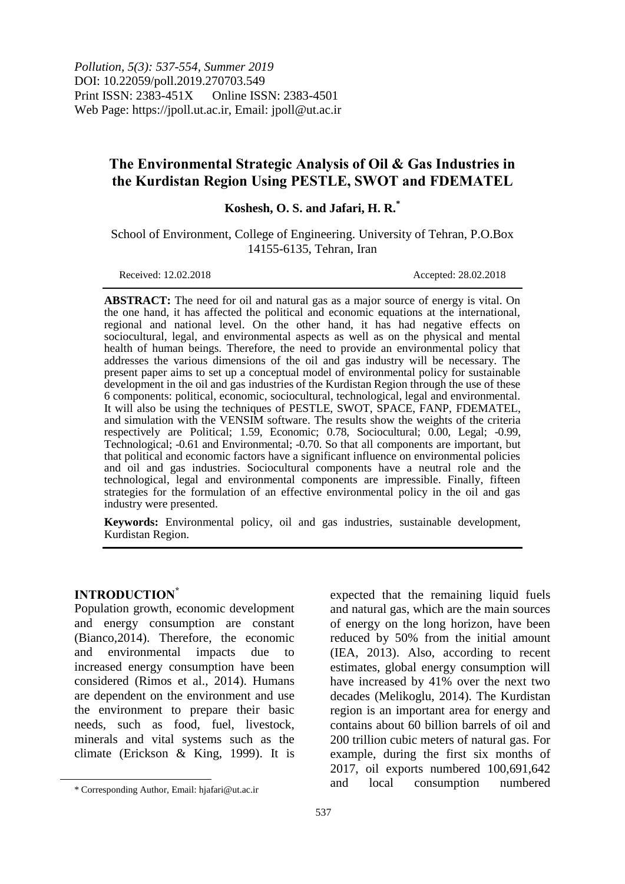*Pollution, 5(3): 537-554, Summer 2019* DOI: 10.22059/poll.2019.270703.549 Print ISSN: 2383-451X Online ISSN: 2383-4501 Web Page: https://jpoll.ut.ac.ir, Email: jpoll@ut.ac.ir

# **The Environmental Strategic Analysis of Oil & Gas Industries in the Kurdistan Region Using PESTLE, SWOT and FDEMATEL**

**Koshesh, O. S. and Jafari, H. R.\***

School of Environment, College of Engineering. University of Tehran, P.O.Box 14155-6135, Tehran, Iran

Received: 12.02.2018 Accepted: 28.02.2018

**ABSTRACT:** The need for oil and natural gas as a major source of energy is vital. On the one hand, it has affected the political and economic equations at the international, regional and national level. On the other hand, it has had negative effects on sociocultural, legal, and environmental aspects as well as on the physical and mental health of human beings. Therefore, the need to provide an environmental policy that addresses the various dimensions of the oil and gas industry will be necessary. The present paper aims to set up a conceptual model of environmental policy for sustainable development in the oil and gas industries of the Kurdistan Region through the use of these 6 components: political, economic, sociocultural, technological, legal and environmental. It will also be using the techniques of PESTLE, SWOT, SPACE, FANP, FDEMATEL, and simulation with the VENSIM software. The results show the weights of the criteria respectively are Political; 1.59, Economic; 0.78, Sociocultural; 0.00, Legal; -0.99, Technological; -0.61 and Environmental; -0.70. So that all components are important, but that political and economic factors have a significant influence on environmental policies and oil and gas industries. Sociocultural components have a neutral role and the technological, legal and environmental components are impressible. Finally, fifteen strategies for the formulation of an effective environmental policy in the oil and gas industry were presented.

**Keywords:** Environmental policy, oil and gas industries, sustainable development, Kurdistan Region.

### **INTRODUCTION\***

 $\overline{a}$ 

Population growth, economic development and energy consumption are constant (Bianco,2014). Therefore, the economic and environmental impacts due to increased energy consumption have been considered (Rimos et al., 2014). Humans are dependent on the environment and use the environment to prepare their basic needs, such as food, fuel, livestock, minerals and vital systems such as the climate (Erickson & King, 1999). It is expected that the remaining liquid fuels and natural gas, which are the main sources of energy on the long horizon, have been reduced by 50% from the initial amount (IEA, 2013). Also, according to recent estimates, global energy consumption will have increased by 41% over the next two decades (Melikoglu, 2014). The Kurdistan region is an important area for energy and contains about 60 billion barrels of oil and 200 trillion cubic meters of natural gas. For example, during the first six months of 2017, oil exports numbered 100,691,642 and local consumption numbered

<sup>\*</sup> Corresponding Author, Email: hjafari@ut.ac.ir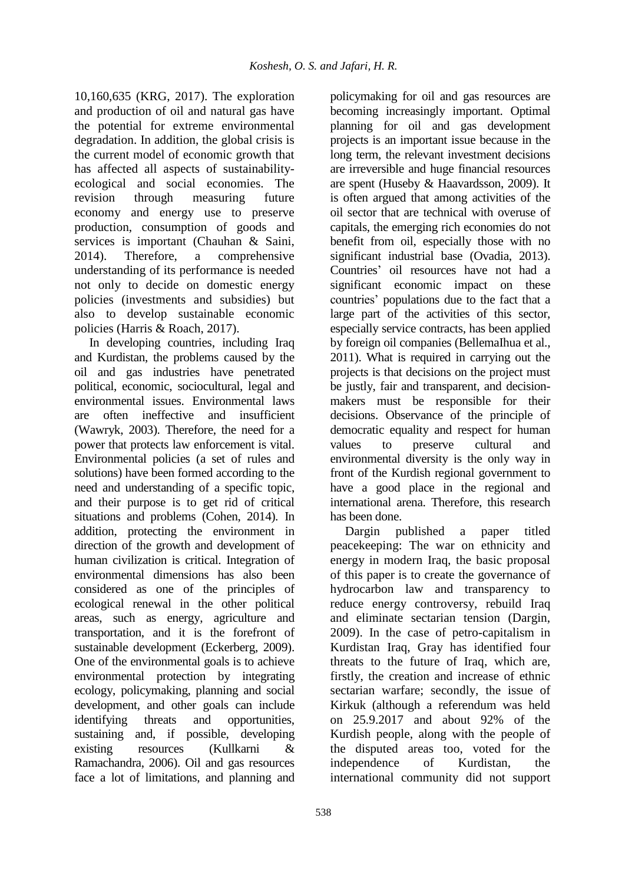10,160,635 (KRG, 2017). The exploration and production of oil and natural gas have the potential for extreme environmental degradation. In addition, the global crisis is the current model of economic growth that has affected all aspects of sustainabilityecological and social economies. The revision through measuring future economy and energy use to preserve production, consumption of goods and services is important (Chauhan & Saini, 2014). Therefore, a comprehensive understanding of its performance is needed not only to decide on domestic energy policies (investments and subsidies) but also to develop sustainable economic policies (Harris & Roach, 2017).

In developing countries, including Iraq and Kurdistan, the problems caused by the oil and gas industries have penetrated political, economic, sociocultural, legal and environmental issues. Environmental laws are often ineffective and insufficient (Wawryk, 2003). Therefore, the need for a power that protects law enforcement is vital. Environmental policies (a set of rules and solutions) have been formed according to the need and understanding of a specific topic, and their purpose is to get rid of critical situations and problems (Cohen, 2014). In addition, protecting the environment in direction of the growth and development of human civilization is critical. Integration of environmental dimensions has also been considered as one of the principles of ecological renewal in the other political areas, such as energy, agriculture and transportation, and it is the forefront of sustainable development (Eckerberg, 2009). One of the environmental goals is to achieve environmental protection by integrating ecology, policymaking, planning and social development, and other goals can include identifying threats and opportunities, sustaining and, if possible, developing existing resources (Kullkarni & Ramachandra, 2006). Oil and gas resources face a lot of limitations, and planning and

policymaking for oil and gas resources are becoming increasingly important. Optimal planning for oil and gas development projects is an important issue because in the long term, the relevant investment decisions are irreversible and huge financial resources are spent (Huseby & Haavardsson, 2009). It is often argued that among activities of the oil sector that are technical with overuse of capitals, the emerging rich economies do not benefit from oil, especially those with no significant industrial base (Ovadia, 2013). Countries' oil resources have not had a significant economic impact on these countries' populations due to the fact that a large part of the activities of this sector, especially service contracts, has been applied by foreign oil companies (BellemaIhua et al., 2011). What is required in carrying out the projects is that decisions on the project must be justly, fair and transparent, and decisionmakers must be responsible for their decisions. Observance of the principle of democratic equality and respect for human values to preserve cultural and environmental diversity is the only way in front of the Kurdish regional government to have a good place in the regional and international arena. Therefore, this research has been done.

Dargin published a paper titled peacekeeping: The war on ethnicity and energy in modern Iraq, the basic proposal of this paper is to create the governance of hydrocarbon law and transparency to reduce energy controversy, rebuild Iraq and eliminate sectarian tension (Dargin, 2009). In the case of petro-capitalism in Kurdistan Iraq, Gray has identified four threats to the future of Iraq, which are, firstly, the creation and increase of ethnic sectarian warfare; secondly, the issue of Kirkuk (although a referendum was held on 25.9.2017 and about 92% of the Kurdish people, along with the people of the disputed areas too, voted for the independence of Kurdistan, the international community did not support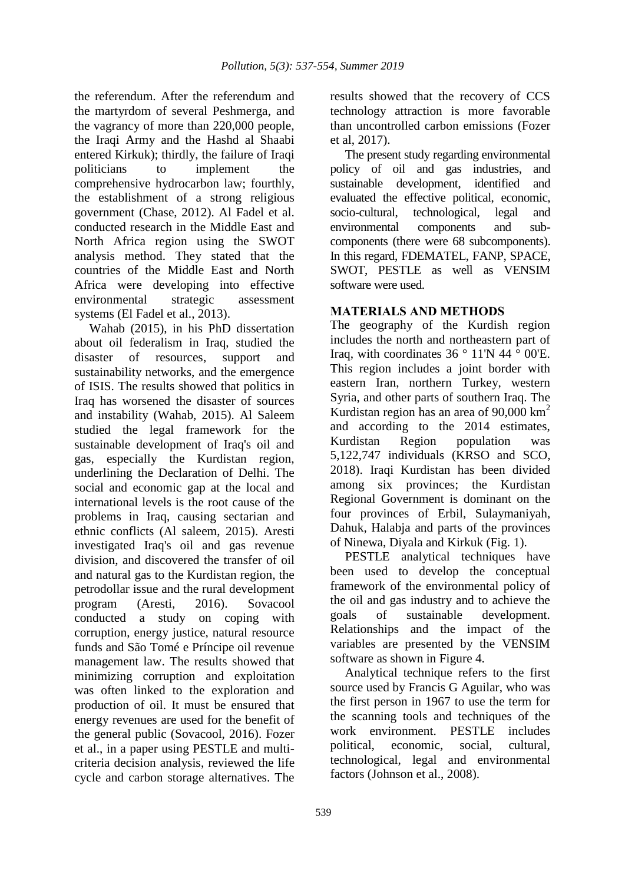the referendum. After the referendum and the martyrdom of several Peshmerga, and the vagrancy of more than 220,000 people, the Iraqi Army and the Hashd al Shaabi entered Kirkuk); thirdly, the failure of Iraqi politicians to implement the comprehensive hydrocarbon law; fourthly, the establishment of a strong religious government (Chase, 2012). Al Fadel et al. conducted research in the Middle East and North Africa region using the SWOT analysis method. They stated that the countries of the Middle East and North Africa were developing into effective environmental strategic assessment systems (El Fadel et al., 2013).

Wahab (2015), in his PhD dissertation about oil federalism in Iraq, studied the disaster of resources, support and sustainability networks, and the emergence of ISIS. The results showed that politics in Iraq has worsened the disaster of sources and instability (Wahab, 2015). Al Saleem studied the legal framework for the sustainable development of Iraq's oil and gas, especially the Kurdistan region, underlining the Declaration of Delhi. The social and economic gap at the local and international levels is the root cause of the problems in Iraq, causing sectarian and ethnic conflicts (Al saleem, 2015). Aresti investigated Iraq's oil and gas revenue division, and discovered the transfer of oil and natural gas to the Kurdistan region, the petrodollar issue and the rural development program (Aresti, 2016). Sovacool conducted a study on coping with corruption, energy justice, natural resource funds and São Tomé e Príncipe oil revenue management law. The results showed that minimizing corruption and exploitation was often linked to the exploration and production of oil. It must be ensured that energy revenues are used for the benefit of the general public (Sovacool, 2016). Fozer et al., in a paper using PESTLE and multicriteria decision analysis, reviewed the life cycle and carbon storage alternatives. The

results showed that the recovery of CCS technology attraction is more favorable than uncontrolled carbon emissions (Fozer et al, 2017).

The present study regarding environmental policy of oil and gas industries, and sustainable development, identified and evaluated the effective political, economic, socio-cultural, technological, legal and environmental components and subcomponents (there were 68 subcomponents). In this regard, FDEMATEL, FANP, SPACE, SWOT, PESTLE as well as VENSIM software were used.

# **MATERIALS AND METHODS**

The geography of the Kurdish region includes the north and northeastern part of Iraq, with coordinates  $36 \degree 11'$ N 44  $\degree 00'$ E. This region includes a joint border with eastern Iran, northern Turkey, western Syria, and other parts of southern Iraq. The Kurdistan region has an area of  $90,000$  km<sup>2</sup> and according to the 2014 estimates, Kurdistan Region population was 5,122,747 individuals (KRSO and SCO, 2018). Iraqi Kurdistan has been divided among six provinces; the Kurdistan Regional Government is dominant on the four provinces of Erbil, Sulaymaniyah, Dahuk, Halabja and parts of the provinces of Ninewa, Diyala and Kirkuk (Fig. 1).

PESTLE analytical techniques have been used to develop the conceptual framework of the environmental policy of the oil and gas industry and to achieve the goals of sustainable development. Relationships and the impact of the variables are presented by the VENSIM software as shown in Figure 4.

Analytical technique refers to the first source used by Francis G Aguilar, who was the first person in 1967 to use the term for the scanning tools and techniques of the work environment. PESTLE includes political, economic, social, cultural, technological, legal and environmental factors (Johnson et al., 2008).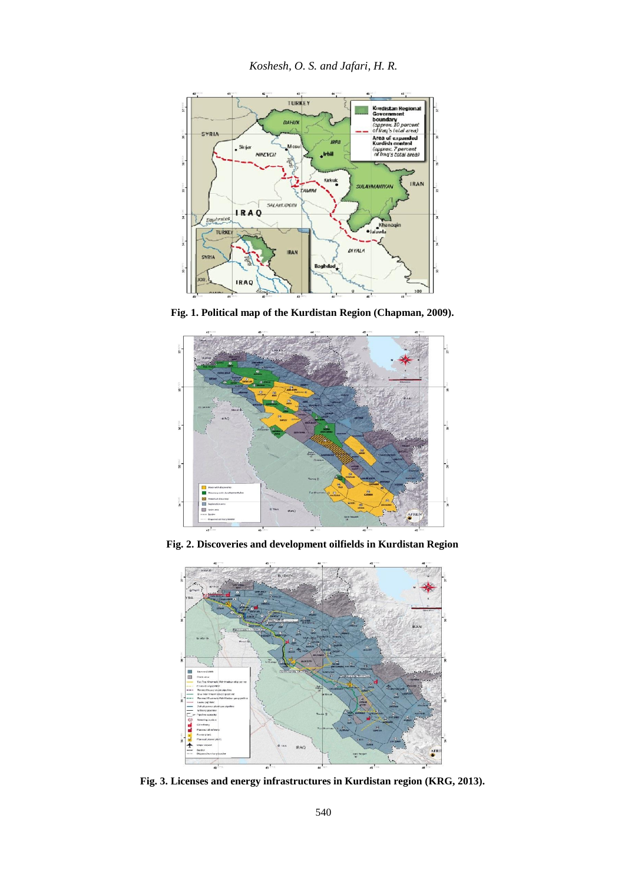

**Fig. 1. Political map of the Kurdistan Region (Chapman, 2009).**



**Fig. 2. Discoveries and development oilfields in Kurdistan Region**



**Fig. 3. Licenses and energy infrastructures in Kurdistan region (KRG, 2013).**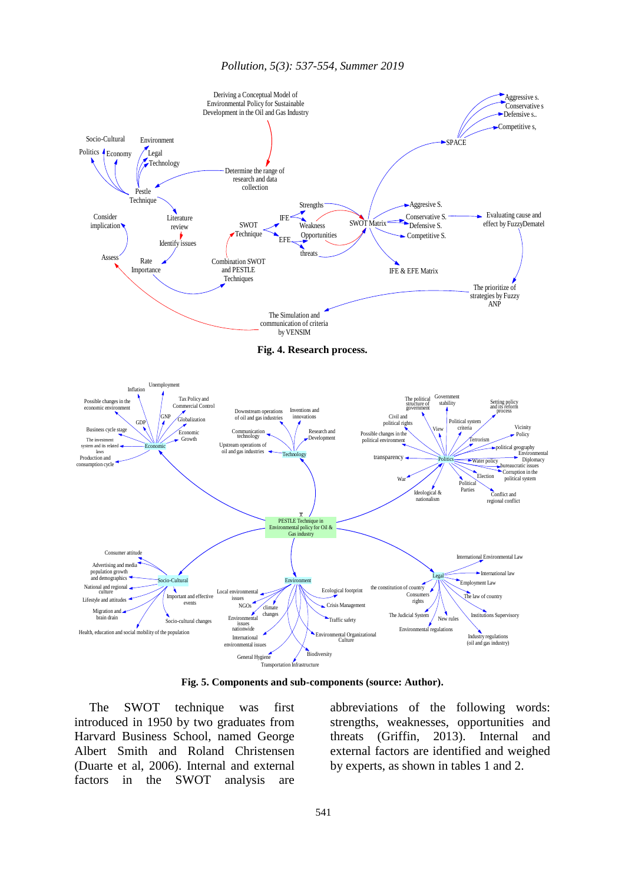

**Fig. 5. Components and sub-components (source: Author).**

The SWOT technique was first introduced in 1950 by two graduates from Harvard Business School, named George Albert Smith and Roland Christensen (Duarte et al, 2006). Internal and external factors in the SWOT analysis are

abbreviations of the following words: strengths, weaknesses, opportunities and threats (Griffin, 2013). Internal and external factors are identified and weighed by experts, as shown in tables 1 and 2.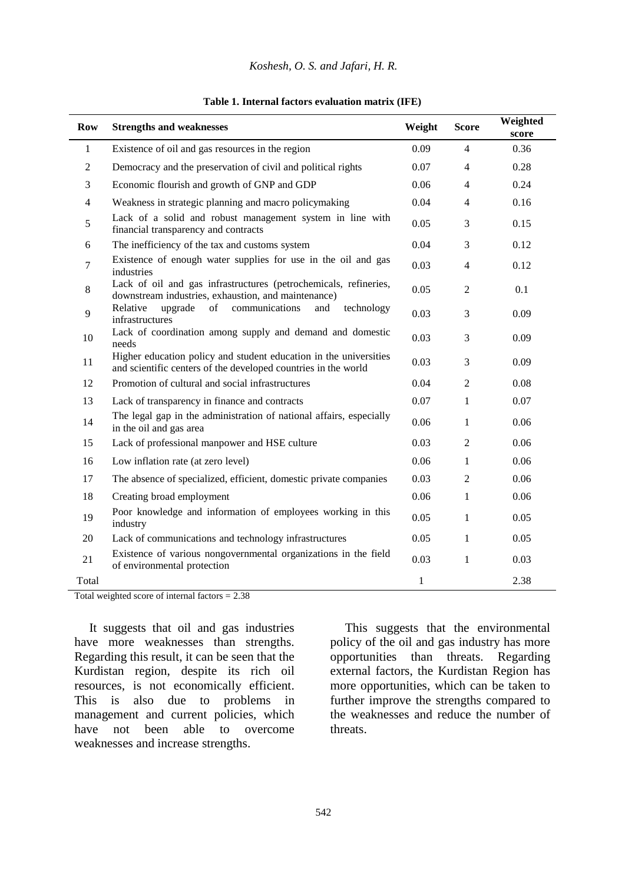### *Koshesh, O. S. and Jafari, H. R.*

| <b>Row</b> | <b>Strengths and weaknesses</b>                                                                                                     | Weight       | <b>Score</b>   | Weighted<br>score |
|------------|-------------------------------------------------------------------------------------------------------------------------------------|--------------|----------------|-------------------|
| 1          | Existence of oil and gas resources in the region                                                                                    | 0.09         | $\overline{4}$ | 0.36              |
| 2          | Democracy and the preservation of civil and political rights                                                                        | 0.07         | $\overline{4}$ | 0.28              |
| 3          | Economic flourish and growth of GNP and GDP                                                                                         | 0.06         | 4              | 0.24              |
| 4          | Weakness in strategic planning and macro policymaking                                                                               | 0.04         | 4              | 0.16              |
| 5          | Lack of a solid and robust management system in line with<br>financial transparency and contracts                                   | 0.05         | 3              | 0.15              |
| 6          | The inefficiency of the tax and customs system                                                                                      | 0.04         | 3              | 0.12              |
| 7          | Existence of enough water supplies for use in the oil and gas<br>industries                                                         | 0.03         | $\overline{4}$ | 0.12              |
| 8          | Lack of oil and gas infrastructures (petrochemicals, refineries,<br>downstream industries, exhaustion, and maintenance)             | 0.05         | $\overline{2}$ | 0.1               |
| 9          | of<br>communications<br>Relative<br>upgrade<br>technology<br>and<br>infrastructures                                                 | 0.03         | 3              | 0.09              |
| 10         | Lack of coordination among supply and demand and domestic<br>needs                                                                  | 0.03         | 3              | 0.09              |
| 11         | Higher education policy and student education in the universities<br>and scientific centers of the developed countries in the world |              | 3              | 0.09              |
| 12         | Promotion of cultural and social infrastructures                                                                                    | 0.04         | $\overline{2}$ | 0.08              |
| 13         | Lack of transparency in finance and contracts                                                                                       | 0.07         | $\mathbf{1}$   | 0.07              |
| 14         | The legal gap in the administration of national affairs, especially<br>in the oil and gas area                                      | 0.06         | 1              | 0.06              |
| 15         | Lack of professional manpower and HSE culture                                                                                       | 0.03         | $\overline{2}$ | 0.06              |
| 16         | Low inflation rate (at zero level)                                                                                                  | 0.06         | $\mathbf{1}$   | 0.06              |
| 17         | The absence of specialized, efficient, domestic private companies                                                                   | 0.03         | 2              | 0.06              |
| 18         | Creating broad employment                                                                                                           | 0.06         | $\mathbf{1}$   | 0.06              |
| 19         | Poor knowledge and information of employees working in this<br>industry                                                             | 0.05         | $\mathbf{1}$   | 0.05              |
| 20         | Lack of communications and technology infrastructures                                                                               | 0.05         | 1              | 0.05              |
| 21         | Existence of various nongovernmental organizations in the field<br>of environmental protection                                      | 0.03         | $\mathbf{1}$   | 0.03              |
| Total      |                                                                                                                                     | $\mathbf{1}$ |                | 2.38              |

#### **Table 1. Internal factors evaluation matrix (IFE)**

Total weighted score of internal factors  $= 2.38$ 

It suggests that oil and gas industries have more weaknesses than strengths. Regarding this result, it can be seen that the Kurdistan region, despite its rich oil resources, is not economically efficient. This is also due to problems in management and current policies, which have not been able to overcome weaknesses and increase strengths.

This suggests that the environmental policy of the oil and gas industry has more opportunities than threats. Regarding external factors, the Kurdistan Region has more opportunities, which can be taken to further improve the strengths compared to the weaknesses and reduce the number of threats.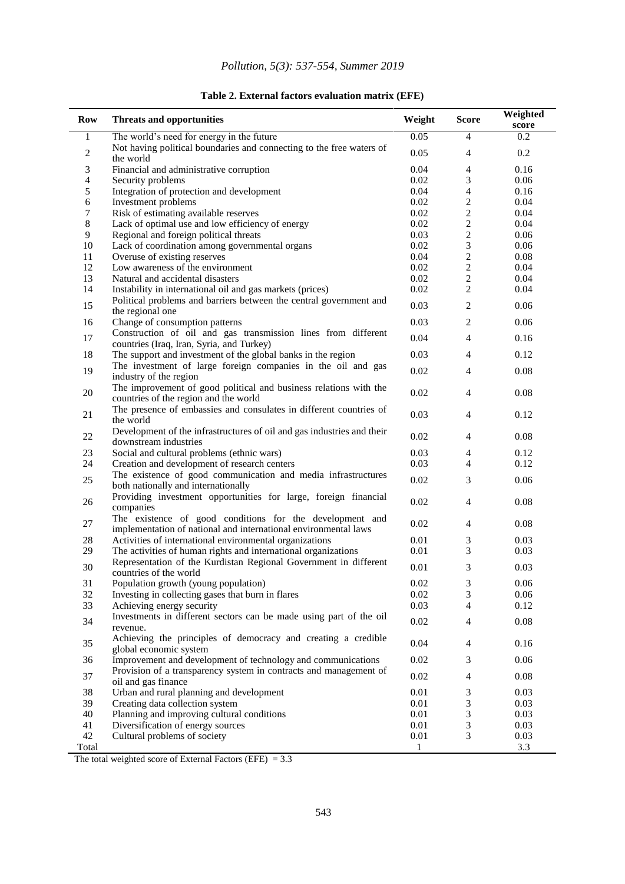# *Pollution, 5(3): 537-554, Summer 2019*

### **Table 2. External factors evaluation matrix (EFE)**

| Row                     | <b>Threats and opportunities</b>                                                                                            | Weight       | <b>Score</b>                | Weighted<br>score |
|-------------------------|-----------------------------------------------------------------------------------------------------------------------------|--------------|-----------------------------|-------------------|
| 1                       | The world's need for energy in the future                                                                                   | 0.05         | $\overline{4}$              | 0.2               |
| $\overline{\mathbf{c}}$ | Not having political boundaries and connecting to the free waters of<br>the world                                           | 0.05         | $\overline{4}$              | 0.2               |
| 3                       | Financial and administrative corruption                                                                                     | 0.04         | $\overline{4}$              | 0.16              |
| 4                       | Security problems                                                                                                           | 0.02         | 3                           | 0.06              |
| 5                       | Integration of protection and development                                                                                   | 0.04         | $\overline{4}$              | 0.16              |
| 6                       | Investment problems                                                                                                         | 0.02         | $\overline{2}$              | 0.04              |
| 7                       | Risk of estimating available reserves                                                                                       | 0.02         | $\overline{2}$              | 0.04              |
| 8                       | Lack of optimal use and low efficiency of energy                                                                            | 0.02         | $\overline{2}$              | 0.04              |
| 9                       | Regional and foreign political threats                                                                                      | 0.03         | $\sqrt{2}$                  | 0.06              |
| 10                      | Lack of coordination among governmental organs                                                                              | 0.02         | 3                           | 0.06              |
| 11                      | Overuse of existing reserves                                                                                                | 0.04         | $\sqrt{2}$                  | 0.08              |
| 12                      | Low awareness of the environment                                                                                            | 0.02         | $\overline{2}$              | 0.04              |
| 13                      | Natural and accidental disasters                                                                                            | 0.02         | $\overline{2}$              | 0.04              |
| 14                      | Instability in international oil and gas markets (prices)                                                                   | 0.02         | 2                           | 0.04              |
| 15                      | Political problems and barriers between the central government and<br>the regional one                                      | 0.03         | $\overline{2}$              | 0.06              |
| 16                      | Change of consumption patterns                                                                                              | 0.03         | $\overline{2}$              | 0.06              |
| 17                      | Construction of oil and gas transmission lines from different                                                               | 0.04         | $\overline{4}$              | 0.16              |
|                         | countries (Iraq, Iran, Syria, and Turkey)                                                                                   |              |                             |                   |
| 18                      | The support and investment of the global banks in the region                                                                | 0.03         | 4                           | 0.12              |
| 19                      | The investment of large foreign companies in the oil and gas<br>industry of the region                                      | 0.02         | 4                           | 0.08              |
| 20                      | The improvement of good political and business relations with the<br>countries of the region and the world                  | 0.02         | $\overline{4}$              | 0.08              |
| 21                      | The presence of embassies and consulates in different countries of<br>the world                                             | 0.03         | $\overline{4}$              | 0.12              |
| 22                      | Development of the infrastructures of oil and gas industries and their<br>downstream industries                             | 0.02         | 4                           | 0.08              |
| 23                      | Social and cultural problems (ethnic wars)                                                                                  | 0.03         | 4                           | 0.12              |
| 24                      | Creation and development of research centers                                                                                | 0.03         | $\overline{4}$              | 0.12              |
|                         | The existence of good communication and media infrastructures                                                               |              |                             |                   |
| 25                      | both nationally and internationally                                                                                         | 0.02         | 3                           | 0.06              |
| 26                      | Providing investment opportunities for large, foreign financial<br>companies                                                | 0.02         | $\overline{4}$              | 0.08              |
| 27                      | The existence of good conditions for the development and<br>implementation of national and international environmental laws |              | $\overline{4}$              | 0.08              |
| 28                      | Activities of international environmental organizations                                                                     | 0.01         | $\mathfrak{Z}$              | 0.03              |
| 29                      | The activities of human rights and international organizations                                                              | 0.01         | 3                           | 0.03              |
| 30                      | Representation of the Kurdistan Regional Government in different                                                            | 0.01         | 3                           | 0.03              |
|                         | countries of the world                                                                                                      |              |                             |                   |
| 31                      | Population growth (young population)                                                                                        | 0.02         | $\ensuremath{\mathfrak{Z}}$ | 0.06              |
| 32                      | Investing in collecting gases that burn in flares                                                                           | 0.02         | 3                           | 0.06              |
| 33                      | Achieving energy security                                                                                                   | 0.03         | 4                           | 0.12              |
| 34                      | Investments in different sectors can be made using part of the oil<br>revenue.                                              | 0.02         | $\overline{4}$              | 0.08              |
|                         | Achieving the principles of democracy and creating a credible                                                               |              |                             |                   |
| 35                      | global economic system                                                                                                      | 0.04         | $\overline{4}$              | 0.16              |
| 36                      | Improvement and development of technology and communications                                                                |              | 3                           | 0.06              |
| 37                      | Provision of a transparency system in contracts and management of<br>oil and gas finance                                    |              | $\overline{4}$              | 0.08              |
| 38                      | Urban and rural planning and development                                                                                    |              | 3                           | 0.03              |
| 39                      | Creating data collection system                                                                                             | 0.01<br>0.01 | $\mathfrak{Z}$              | 0.03              |
| 40                      | Planning and improving cultural conditions                                                                                  | 0.01         | $\mathfrak{Z}$              | 0.03              |
| 41                      | Diversification of energy sources                                                                                           | 0.01         | 3                           | 0.03              |
| 42                      | Cultural problems of society                                                                                                | 0.01         | 3                           | 0.03              |
| Total                   |                                                                                                                             | 1            |                             | 3.3               |

The total weighted score of External Factors (EFE)  $= 3.3$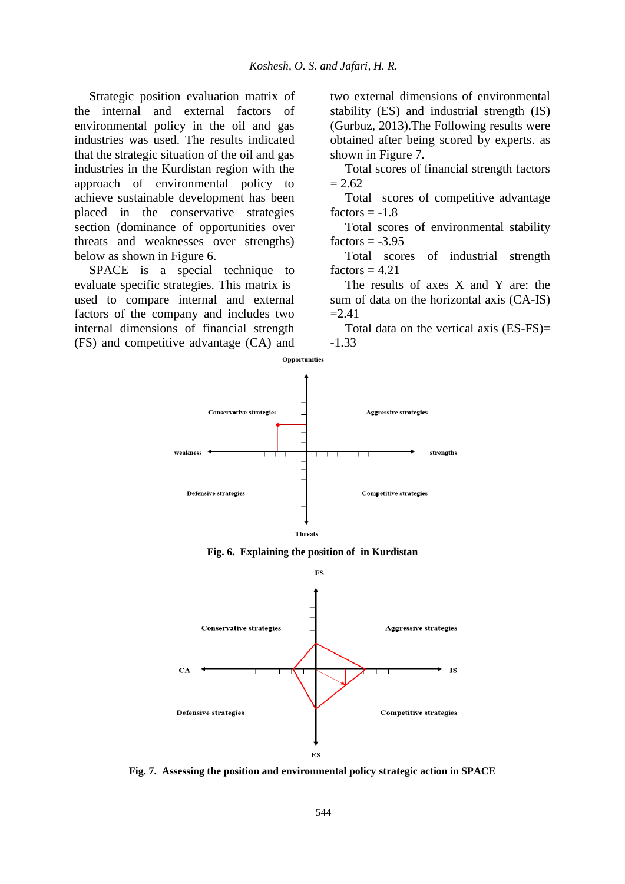Strategic position evaluation matrix of the internal and external factors of environmental policy in the oil and gas industries was used. The results indicated that the strategic situation of the oil and gas industries in the Kurdistan region with the approach of environmental policy to achieve sustainable development has been placed in the conservative strategies section (dominance of opportunities over threats and weaknesses over strengths) below as shown in Figure 6.

SPACE is a special technique to evaluate specific strategies. This matrix is used to compare internal and external factors of the company and includes two internal dimensions of financial strength (FS) and competitive advantage (CA) and two external dimensions of environmental stability (ES) and industrial strength (IS) (Gurbuz, 2013).The Following results were obtained after being scored by experts. as shown in Figure 7.

Total scores of financial strength factors  $= 2.62$ 

Total scores of competitive advantage factors  $= -1.8$ 

Total scores of environmental stability factors  $= -3.95$ 

Total scores of industrial strength factors  $= 4.21$ 

The results of axes X and Y are: the sum of data on the horizontal axis (CA-IS)  $=2.41$ 

Total data on the vertical axis (ES-FS)= -1.33







**Fig. 7. Assessing the position and environmental policy strategic action in SPACE**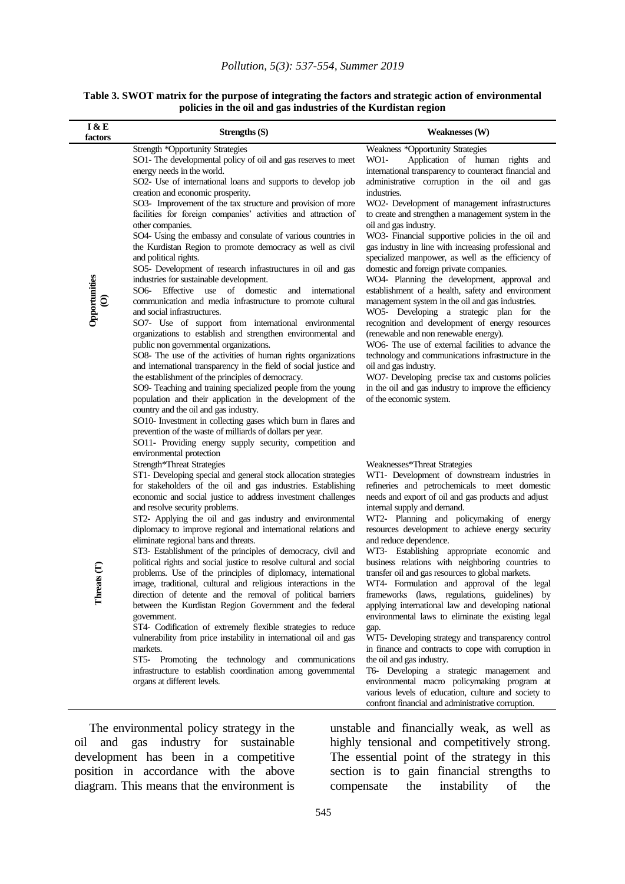**Table 3. SWOT matrix for the purpose of integrating the factors and strategic action of environmental policies in the oil and gas industries of the Kurdistan region**

| I & E<br>factors   | Strengths (S)                                                                                                                                                                                                                                                                                                                                                                                                                                                                                                                                                                                                                                                                                                                                                                                                                                                                                                                                                                                                                                                                                                                                                                                                                                                                                                                                                                                                                                                                                                                                                                             | <b>Weaknesses (W)</b>                                                                                                                                                                                                                                                                                                                                                                                                                                                                                                                                                                                                                                                                                                                                                                                                                                                                                                                                                                                                                                                                                                                  |
|--------------------|-------------------------------------------------------------------------------------------------------------------------------------------------------------------------------------------------------------------------------------------------------------------------------------------------------------------------------------------------------------------------------------------------------------------------------------------------------------------------------------------------------------------------------------------------------------------------------------------------------------------------------------------------------------------------------------------------------------------------------------------------------------------------------------------------------------------------------------------------------------------------------------------------------------------------------------------------------------------------------------------------------------------------------------------------------------------------------------------------------------------------------------------------------------------------------------------------------------------------------------------------------------------------------------------------------------------------------------------------------------------------------------------------------------------------------------------------------------------------------------------------------------------------------------------------------------------------------------------|----------------------------------------------------------------------------------------------------------------------------------------------------------------------------------------------------------------------------------------------------------------------------------------------------------------------------------------------------------------------------------------------------------------------------------------------------------------------------------------------------------------------------------------------------------------------------------------------------------------------------------------------------------------------------------------------------------------------------------------------------------------------------------------------------------------------------------------------------------------------------------------------------------------------------------------------------------------------------------------------------------------------------------------------------------------------------------------------------------------------------------------|
| Opportunities      | <b>Strength *Opportunity Strategies</b><br>SO1- The developmental policy of oil and gas reserves to meet<br>energy needs in the world.<br>SO2- Use of international loans and supports to develop job<br>creation and economic prosperity.<br>SO3- Improvement of the tax structure and provision of more<br>facilities for foreign companies' activities and attraction of<br>other companies.<br>SO4- Using the embassy and consulate of various countries in<br>the Kurdistan Region to promote democracy as well as civil<br>and political rights.<br>SO5- Development of research infrastructures in oil and gas<br>industries for sustainable development.<br>domestic<br>$SO6-$<br>Effective use<br>of<br>and<br>international<br>communication and media infrastructure to promote cultural<br>and social infrastructures.<br>SO7- Use of support from international environmental<br>organizations to establish and strengthen environmental and<br>public non governmental organizations.<br>SO8- The use of the activities of human rights organizations<br>and international transparency in the field of social justice and<br>the establishment of the principles of democracy.<br>SO9- Teaching and training specialized people from the young<br>population and their application in the development of the<br>country and the oil and gas industry.<br>SO10- Investment in collecting gases which burn in flares and<br>prevention of the waste of milliards of dollars per year.<br>SO11- Providing energy supply security, competition and<br>environmental protection | Weakness *Opportunity Strategies<br>Application of human rights<br>WO1-<br>and<br>international transparency to counteract financial and<br>administrative corruption in the oil and gas<br>industries.<br>WO2- Development of management infrastructures<br>to create and strengthen a management system in the<br>oil and gas industry.<br>WO3- Financial supportive policies in the oil and<br>gas industry in line with increasing professional and<br>specialized manpower, as well as the efficiency of<br>domestic and foreign private companies.<br>WO4- Planning the development, approval and<br>establishment of a health, safety and environment<br>management system in the oil and gas industries.<br>WO5- Developing a strategic plan for the<br>recognition and development of energy resources<br>(renewable and non renewable energy).<br>WO6- The use of external facilities to advance the<br>technology and communications infrastructure in the<br>oil and gas industry.<br>WO7- Developing precise tax and customs policies<br>in the oil and gas industry to improve the efficiency<br>of the economic system. |
| ats $(T)$<br>Threa | Strength*Threat Strategies<br>ST1- Developing special and general stock allocation strategies<br>for stakeholders of the oil and gas industries. Establishing<br>economic and social justice to address investment challenges<br>and resolve security problems.<br>ST2- Applying the oil and gas industry and environmental<br>diplomacy to improve regional and international relations and<br>eliminate regional bans and threats.<br>ST3- Establishment of the principles of democracy, civil and<br>political rights and social justice to resolve cultural and social<br>problems. Use of the principles of diplomacy, international<br>image, traditional, cultural and religious interactions in the<br>direction of detente and the removal of political barriers<br>between the Kurdistan Region Government and the federal<br>government.<br>ST4- Codification of extremely flexible strategies to reduce<br>vulnerability from price instability in international oil and gas<br>markets.<br>ST5- Promoting the technology and communications<br>infrastructure to establish coordination among governmental<br>organs at different levels.                                                                                                                                                                                                                                                                                                                                                                                                                                    | Weaknesses*Threat Strategies<br>WT1- Development of downstream industries in<br>refineries and petrochemicals to meet domestic<br>needs and export of oil and gas products and adjust<br>internal supply and demand.<br>WT2- Planning and policymaking of energy<br>resources development to achieve energy security<br>and reduce dependence.<br>WT3- Establishing appropriate economic and<br>business relations with neighboring countries to<br>transfer oil and gas resources to global markets.<br>WT4- Formulation and approval of the legal<br>frameworks (laws, regulations, guidelines) by<br>applying international law and developing national<br>environmental laws to eliminate the existing legal<br>gap.<br>WT5- Developing strategy and transparency control<br>in finance and contracts to cope with corruption in<br>the oil and gas industry.<br>T6- Developing a strategic management and<br>environmental macro policymaking program at<br>various levels of education, culture and society to<br>confront financial and administrative corruption.                                                              |

The environmental policy strategy in the oil and gas industry for sustainable development has been in a competitive position in accordance with the above diagram. This means that the environment is

unstable and financially weak, as well as highly tensional and competitively strong. The essential point of the strategy in this section is to gain financial strengths to compensate the instability of the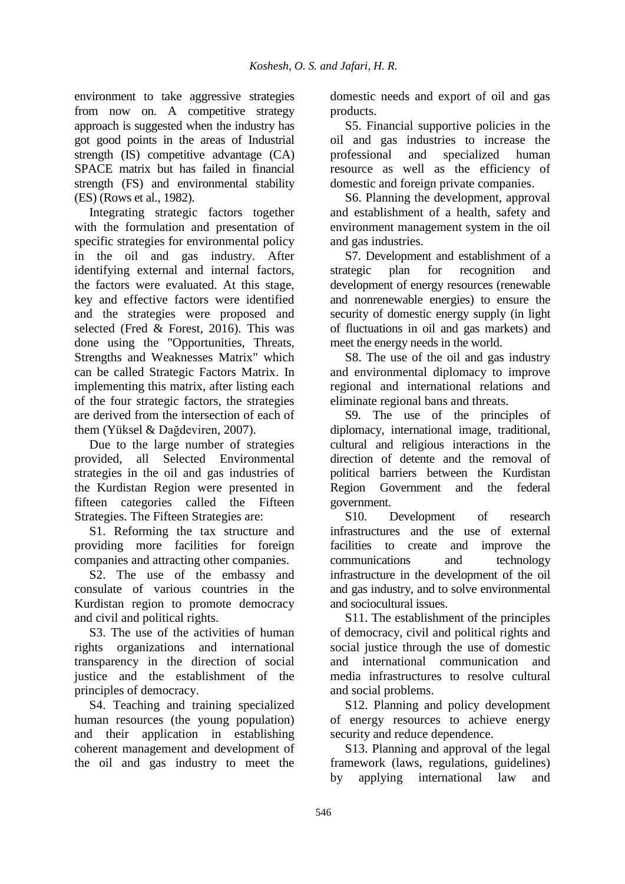environment to take aggressive strategies from now on. A competitive strategy approach is suggested when the industry has got good points in the areas of Industrial strength (IS) competitive advantage (CA) SPACE matrix but has failed in financial strength (FS) and environmental stability (ES) (Rows et al., 1982).

Integrating strategic factors together with the formulation and presentation of specific strategies for environmental policy in the oil and gas industry. After identifying external and internal factors, the factors were evaluated. At this stage, key and effective factors were identified and the strategies were proposed and selected (Fred & Forest, 2016). This was done using the "Opportunities, Threats, Strengths and Weaknesses Matrix" which can be called Strategic Factors Matrix. In implementing this matrix, after listing each of the four strategic factors, the strategies are derived from the intersection of each of them (Yüksel & Dağdeviren, 2007).

Due to the large number of strategies provided, all Selected Environmental strategies in the oil and gas industries of the Kurdistan Region were presented in fifteen categories called the Fifteen Strategies. The Fifteen Strategies are:

S1. Reforming the tax structure and providing more facilities for foreign companies and attracting other companies.

S2. The use of the embassy and consulate of various countries in the Kurdistan region to promote democracy and civil and political rights.

S3. The use of the activities of human rights organizations and international transparency in the direction of social justice and the establishment of the principles of democracy.

S4. Teaching and training specialized human resources (the young population) and their application in establishing coherent management and development of the oil and gas industry to meet the domestic needs and export of oil and gas products.

S5. Financial supportive policies in the oil and gas industries to increase the professional and specialized human resource as well as the efficiency of domestic and foreign private companies.

S6. Planning the development, approval and establishment of a health, safety and environment management system in the oil and gas industries.

S7. Development and establishment of a strategic plan for recognition and development of energy resources (renewable and nonrenewable energies) to ensure the security of domestic energy supply (in light of fluctuations in oil and gas markets) and meet the energy needs in the world.

S8. The use of the oil and gas industry and environmental diplomacy to improve regional and international relations and eliminate regional bans and threats.

S9. The use of the principles of diplomacy, international image, traditional, cultural and religious interactions in the direction of detente and the removal of political barriers between the Kurdistan Region Government and the federal government.

S10. Development of research infrastructures and the use of external facilities to create and improve the communications and technology infrastructure in the development of the oil and gas industry, and to solve environmental and sociocultural issues.

S11. The establishment of the principles of democracy, civil and political rights and social justice through the use of domestic and international communication and media infrastructures to resolve cultural and social problems.

S12. Planning and policy development of energy resources to achieve energy security and reduce dependence.

S13. Planning and approval of the legal framework (laws, regulations, guidelines) by applying international law and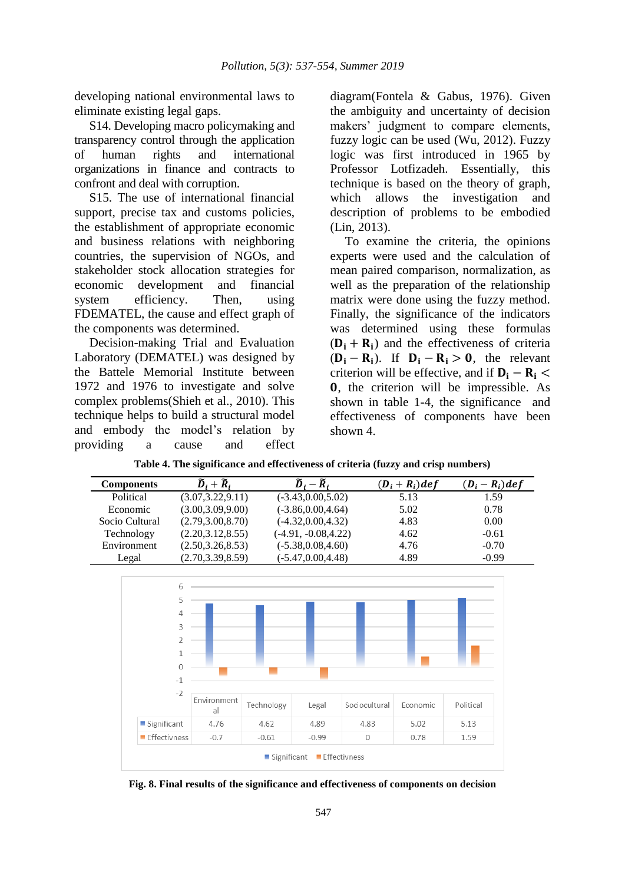developing national environmental laws to eliminate existing legal gaps.

S14. Developing macro policymaking and transparency control through the application of human rights and international organizations in finance and contracts to confront and deal with corruption.

S15. The use of international financial support, precise tax and customs policies, the establishment of appropriate economic and business relations with neighboring countries, the supervision of NGOs, and stakeholder stock allocation strategies for economic development and financial system efficiency. Then, using FDEMATEL, the cause and effect graph of the components was determined.

Decision-making Trial and Evaluation Laboratory (DEMATEL) was designed by the Battele Memorial Institute between 1972 and 1976 to investigate and solve complex problems(Shieh et al., 2010). This technique helps to build a structural model and embody the model's relation by providing a cause and effect diagram(Fontela & Gabus, 1976). Given the ambiguity and uncertainty of decision makers' judgment to compare elements, fuzzy logic can be used (Wu, 2012). Fuzzy logic was first introduced in 1965 by Professor Lotfizadeh. Essentially, this technique is based on the theory of graph, which allows the investigation and description of problems to be embodied (Lin, 2013).

To examine the criteria, the opinions experts were used and the calculation of mean paired comparison, normalization, as well as the preparation of the relationship matrix were done using the fuzzy method. Finally, the significance of the indicators was determined using these formulas  $(D_i + R_i)$  and the effectiveness of criteria  $(D_i - R_i)$ . If  $D_i - R_i > 0$ , the relevant criterion will be effective, and if  $D_i - R_i$  , the criterion will be impressible. As shown in table 1-4, the significance and effectiveness of components have been shown 4.

| <b>Components</b> | $\widetilde{D}_i + \widetilde{R}_i$ | $-\widetilde{R}_{i}$   | $(D_i + R_i)$ def | $(D_i - R_i)$ def |
|-------------------|-------------------------------------|------------------------|-------------------|-------------------|
| Political         | (3.07, 3.22, 9.11)                  | $(-3.43, 0.00, 5.02)$  | 5.13              | 1.59              |
| Economic          | (3.00, 3.09, 9.00)                  | $(-3.86, 0.00, 4.64)$  | 5.02              | 0.78              |
| Socio Cultural    | (2.79, 3.00, 8.70)                  | $(-4.32, 0.00, 4.32)$  | 4.83              | 0.00              |
| Technology        | (2.20, 3.12, 8.55)                  | $(-4.91, -0.08, 4.22)$ | 4.62              | $-0.61$           |
| Environment       | (2.50, 3.26, 8.53)                  | $(-5.38, 0.08, 4.60)$  | 4.76              | $-0.70$           |
| Legal             | (2.70, 3.39, 8.59)                  | $(-5.47, 0.00, 4.48)$  | 4.89              | $-0.99$           |



**Fig. 8. Final results of the significance and effectiveness of components on decision**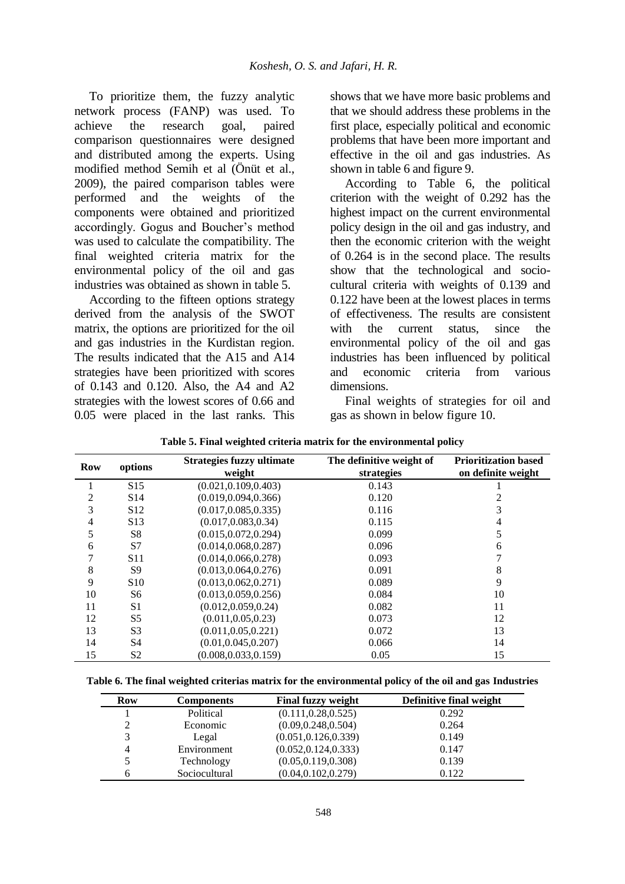To prioritize them, the fuzzy analytic network process (FANP) was used. To achieve the research goal, paired comparison questionnaires were designed and distributed among the experts. Using modified method Semih et al (Önüt et al., 2009), the paired comparison tables were performed and the weights of the components were obtained and prioritized accordingly. Gogus and Boucher's method was used to calculate the compatibility. The final weighted criteria matrix for the environmental policy of the oil and gas industries was obtained as shown in table 5.

According to the fifteen options strategy derived from the analysis of the SWOT matrix, the options are prioritized for the oil and gas industries in the Kurdistan region. The results indicated that the A15 and A14 strategies have been prioritized with scores of 0.143 and 0.120. Also, the A4 and A2 strategies with the lowest scores of 0.66 and 0.05 were placed in the last ranks. This

shows that we have more basic problems and that we should address these problems in the first place, especially political and economic problems that have been more important and effective in the oil and gas industries. As shown in table 6 and figure 9.

According to Table 6, the political criterion with the weight of 0.292 has the highest impact on the current environmental policy design in the oil and gas industry, and then the economic criterion with the weight of 0.264 is in the second place. The results show that the technological and sociocultural criteria with weights of 0.139 and 0.122 have been at the lowest places in terms of effectiveness. The results are consistent with the current status, since the environmental policy of the oil and gas industries has been influenced by political and economic criteria from various dimensions.

Final weights of strategies for oil and gas as shown in below figure 10.

| Row | options         | <b>Strategies fuzzy ultimate</b><br>weight | The definitive weight of<br>strategies | <b>Prioritization based</b><br>on definite weight |
|-----|-----------------|--------------------------------------------|----------------------------------------|---------------------------------------------------|
|     | S <sub>15</sub> | (0.021, 0.109, 0.403)                      | 0.143                                  |                                                   |
| 2   | S <sub>14</sub> | (0.019, 0.094, 0.366)                      | 0.120                                  |                                                   |
| 3   | S <sub>12</sub> | (0.017, 0.085, 0.335)                      | 0.116                                  | 3                                                 |
| 4   | S <sub>13</sub> | (0.017, 0.083, 0.34)                       | 0.115                                  | 4                                                 |
| 5   | S <sup>8</sup>  | (0.015, 0.072, 0.294)                      | 0.099                                  | 5                                                 |
| 6   | S7              | (0.014, 0.068, 0.287)                      | 0.096                                  | 6                                                 |
| 7   | S <sub>11</sub> | (0.014, 0.066, 0.278)                      | 0.093                                  |                                                   |
| 8   | S9              | (0.013, 0.064, 0.276)                      | 0.091                                  | 8                                                 |
| 9   | S <sub>10</sub> | (0.013, 0.062, 0.271)                      | 0.089                                  | 9                                                 |
| 10  | S6              | (0.013, 0.059, 0.256)                      | 0.084                                  | 10                                                |
| 11  | S <sub>1</sub>  | (0.012, 0.059, 0.24)                       | 0.082                                  | 11                                                |
| 12  | S <sub>5</sub>  | (0.011, 0.05, 0.23)                        | 0.073                                  | 12                                                |
| 13  | S <sub>3</sub>  | (0.011, 0.05, 0.221)                       | 0.072                                  | 13                                                |
| 14  | S4              | (0.01, 0.045, 0.207)                       | 0.066                                  | 14                                                |
| 15  | S2              | (0.008, 0.033, 0.159)                      | 0.05                                   | 15                                                |

**Table 5. Final weighted criteria matrix for the environmental policy**

**Table 6. The final weighted criterias matrix for the environmental policy of the oil and gas Industries**

| Row | <b>Components</b> | <b>Final fuzzy weight</b> | Definitive final weight |
|-----|-------------------|---------------------------|-------------------------|
|     | Political         | (0.111, 0.28, 0.525)      | 0.292                   |
| 2   | Economic          | (0.09, 0.248, 0.504)      | 0.264                   |
| 3   | Legal             | (0.051, 0.126, 0.339)     | 0.149                   |
| 4   | Environment       | (0.052, 0.124, 0.333)     | 0.147                   |
| 5   | Technology        | (0.05, 0.119, 0.308)      | 0.139                   |
| 6   | Sociocultural     | (0.04, 0.102, 0.279)      | 0.122                   |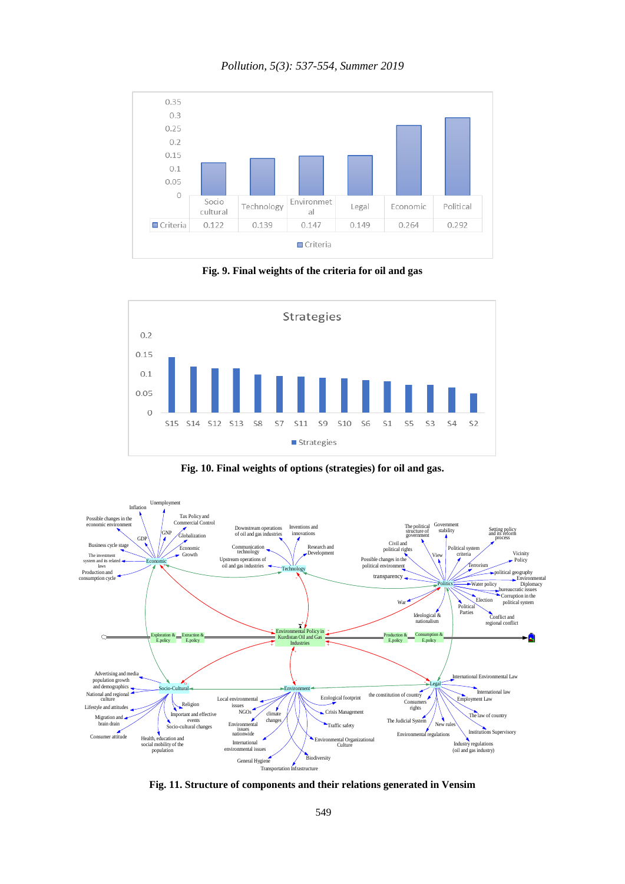### *Pollution, 5(3): 537-554, Summer 2019*



**Fig. 9. Final weights of the criteria for oil and gas**



**Fig. 10. Final weights of options (strategies) for oil and gas.**



**Fig. 11. Structure of components and their relations generated in Vensim**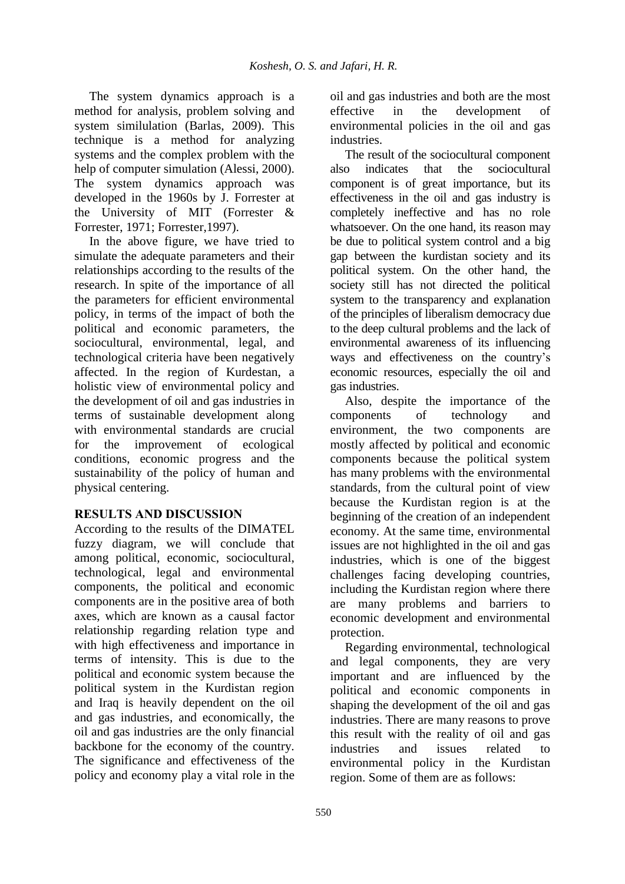The system dynamics approach is a method for analysis, problem solving and system similulation (Barlas, 2009). This technique is a method for analyzing systems and the complex problem with the help of computer simulation (Alessi, 2000). The system dynamics approach was developed in the 1960s by J. Forrester at the University of MIT (Forrester & Forrester, 1971; Forrester,1997).

In the above figure, we have tried to simulate the adequate parameters and their relationships according to the results of the research. In spite of the importance of all the parameters for efficient environmental policy, in terms of the impact of both the political and economic parameters, the sociocultural, environmental, legal, and technological criteria have been negatively affected. In the region of Kurdestan, a holistic view of environmental policy and the development of oil and gas industries in terms of sustainable development along with environmental standards are crucial for the improvement of ecological conditions, economic progress and the sustainability of the policy of human and physical centering.

# **RESULTS AND DISCUSSION**

According to the results of the DIMATEL fuzzy diagram, we will conclude that among political, economic, sociocultural, technological, legal and environmental components, the political and economic components are in the positive area of both axes, which are known as a causal factor relationship regarding relation type and with high effectiveness and importance in terms of intensity. This is due to the political and economic system because the political system in the Kurdistan region and Iraq is heavily dependent on the oil and gas industries, and economically, the oil and gas industries are the only financial backbone for the economy of the country. The significance and effectiveness of the policy and economy play a vital role in the

oil and gas industries and both are the most effective in the development of environmental policies in the oil and gas industries.

The result of the sociocultural component also indicates that the sociocultural component is of great importance, but its effectiveness in the oil and gas industry is completely ineffective and has no role whatsoever. On the one hand, its reason may be due to political system control and a big gap between the kurdistan society and its political system. On the other hand, the society still has not directed the political system to the transparency and explanation of the principles of liberalism democracy due to the deep cultural problems and the lack of environmental awareness of its influencing ways and effectiveness on the country's economic resources, especially the oil and gas industries.

Also, despite the importance of the components of technology and environment, the two components are mostly affected by political and economic components because the political system has many problems with the environmental standards, from the cultural point of view because the Kurdistan region is at the beginning of the creation of an independent economy. At the same time, environmental issues are not highlighted in the oil and gas industries, which is one of the biggest challenges facing developing countries, including the Kurdistan region where there are many problems and barriers to economic development and environmental protection.

Regarding environmental, technological and legal components, they are very important and are influenced by the political and economic components in shaping the development of the oil and gas industries. There are many reasons to prove this result with the reality of oil and gas industries and issues related to environmental policy in the Kurdistan region. Some of them are as follows: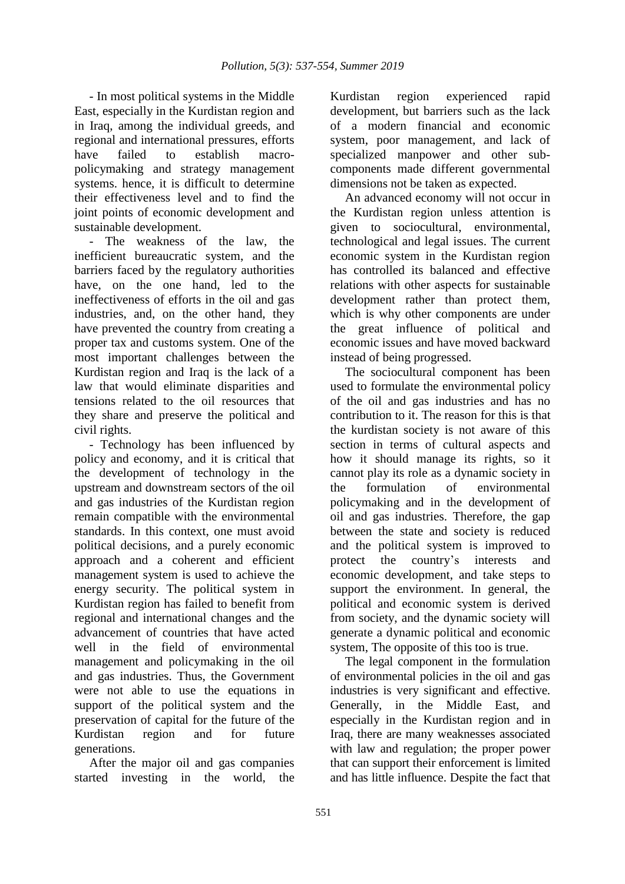- In most political systems in the Middle East, especially in the Kurdistan region and in Iraq, among the individual greeds, and regional and international pressures, efforts have failed to establish macropolicymaking and strategy management systems. hence, it is difficult to determine their effectiveness level and to find the joint points of economic development and sustainable development.

The weakness of the law, the inefficient bureaucratic system, and the barriers faced by the regulatory authorities have, on the one hand, led to the ineffectiveness of efforts in the oil and gas industries, and, on the other hand, they have prevented the country from creating a proper tax and customs system. One of the most important challenges between the Kurdistan region and Iraq is the lack of a law that would eliminate disparities and tensions related to the oil resources that they share and preserve the political and civil rights.

- Technology has been influenced by policy and economy, and it is critical that the development of technology in the upstream and downstream sectors of the oil and gas industries of the Kurdistan region remain compatible with the environmental standards. In this context, one must avoid political decisions, and a purely economic approach and a coherent and efficient management system is used to achieve the energy security. The political system in Kurdistan region has failed to benefit from regional and international changes and the advancement of countries that have acted well in the field of environmental management and policymaking in the oil and gas industries. Thus, the Government were not able to use the equations in support of the political system and the preservation of capital for the future of the Kurdistan region and for future generations.

After the major oil and gas companies started investing in the world, the

Kurdistan region experienced rapid development, but barriers such as the lack of a modern financial and economic system, poor management, and lack of specialized manpower and other subcomponents made different governmental dimensions not be taken as expected.

An advanced economy will not occur in the Kurdistan region unless attention is given to sociocultural, environmental, technological and legal issues. The current economic system in the Kurdistan region has controlled its balanced and effective relations with other aspects for sustainable development rather than protect them, which is why other components are under the great influence of political and economic issues and have moved backward instead of being progressed.

The sociocultural component has been used to formulate the environmental policy of the oil and gas industries and has no contribution to it. The reason for this is that the kurdistan society is not aware of this section in terms of cultural aspects and how it should manage its rights, so it cannot play its role as a dynamic society in the formulation of environmental policymaking and in the development of oil and gas industries. Therefore, the gap between the state and society is reduced and the political system is improved to protect the country's interests and economic development, and take steps to support the environment. In general, the political and economic system is derived from society, and the dynamic society will generate a dynamic political and economic system, The opposite of this too is true.

The legal component in the formulation of environmental policies in the oil and gas industries is very significant and effective. Generally, in the Middle East, and especially in the Kurdistan region and in Iraq, there are many weaknesses associated with law and regulation; the proper power that can support their enforcement is limited and has little influence. Despite the fact that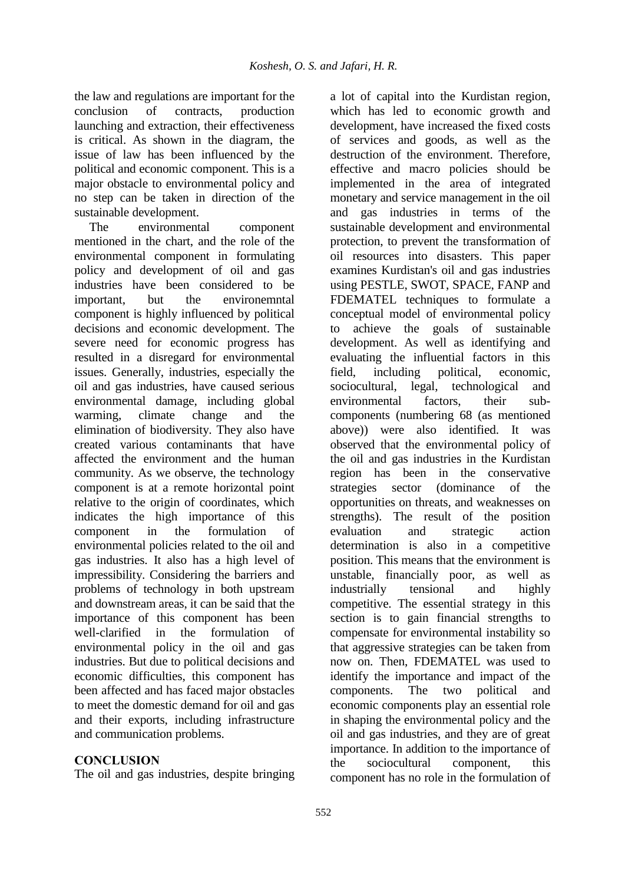the law and regulations are important for the conclusion of contracts, production launching and extraction, their effectiveness is critical. As shown in the diagram, the issue of law has been influenced by the political and economic component. This is a major obstacle to environmental policy and no step can be taken in direction of the sustainable development.

The environmental component mentioned in the chart, and the role of the environmental component in formulating policy and development of oil and gas industries have been considered to be important, but the environemntal component is highly influenced by political decisions and economic development. The severe need for economic progress has resulted in a disregard for environmental issues. Generally, industries, especially the oil and gas industries, have caused serious environmental damage, including global warming, climate change and the elimination of biodiversity. They also have created various contaminants that have affected the environment and the human community. As we observe, the technology component is at a remote horizontal point relative to the origin of coordinates, which indicates the high importance of this component in the formulation of environmental policies related to the oil and gas industries. It also has a high level of impressibility. Considering the barriers and problems of technology in both upstream and downstream areas, it can be said that the importance of this component has been well-clarified in the formulation of environmental policy in the oil and gas industries. But due to political decisions and economic difficulties, this component has been affected and has faced major obstacles to meet the domestic demand for oil and gas and their exports, including infrastructure and communication problems.

### **CONCLUSION**

The oil and gas industries, despite bringing

a lot of capital into the Kurdistan region, which has led to economic growth and development, have increased the fixed costs of services and goods, as well as the destruction of the environment. Therefore, effective and macro policies should be implemented in the area of integrated monetary and service management in the oil and gas industries in terms of the sustainable development and environmental protection, to prevent the transformation of oil resources into disasters. This paper examines Kurdistan's oil and gas industries using PESTLE, SWOT, SPACE, FANP and FDEMATEL techniques to formulate a conceptual model of environmental policy to achieve the goals of sustainable development. As well as identifying and evaluating the influential factors in this field, including political, economic, sociocultural, legal, technological and environmental factors, their subcomponents (numbering 68 (as mentioned above)) were also identified. It was observed that the environmental policy of the oil and gas industries in the Kurdistan region has been in the conservative strategies sector (dominance of the opportunities on threats, and weaknesses on strengths). The result of the position evaluation and strategic action determination is also in a competitive position. This means that the environment is unstable, financially poor, as well as industrially tensional and highly competitive. The essential strategy in this section is to gain financial strengths to compensate for environmental instability so that aggressive strategies can be taken from now on. Then, FDEMATEL was used to identify the importance and impact of the components. The two political and economic components play an essential role in shaping the environmental policy and the oil and gas industries, and they are of great importance. In addition to the importance of the sociocultural component, this component has no role in the formulation of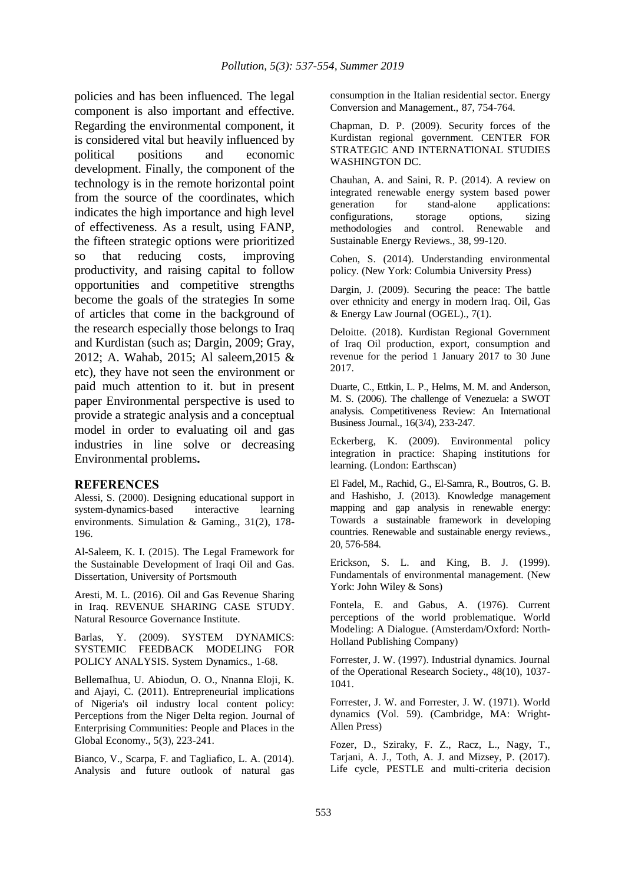policies and has been influenced. The legal component is also important and effective. Regarding the environmental component, it is considered vital but heavily influenced by political positions and economic development. Finally, the component of the technology is in the remote horizontal point from the source of the coordinates, which indicates the high importance and high level of effectiveness. As a result, using FANP, the fifteen strategic options were prioritized so that reducing costs, improving productivity, and raising capital to follow opportunities and competitive strengths become the goals of the strategies In some of articles that come in the background of the research especially those belongs to Iraq and Kurdistan (such as; Dargin, 2009; Gray, 2012; A. Wahab, 2015; Al saleem,2015 & etc), they have not seen the environment or paid much attention to it. but in present paper Environmental perspective is used to provide a strategic analysis and a conceptual model in order to evaluating oil and gas industries in line solve or decreasing Environmental problems**.**

#### **REFERENCES**

Alessi, S. (2000). Designing educational support in system-dynamics-based interactive learning environments. Simulation & Gaming., 31(2), 178- 196.

Al-Saleem, K. I. (2015). The Legal Framework for the Sustainable Development of Iraqi Oil and Gas. Dissertation, University of Portsmouth

Aresti, M. L. (2016). Oil and Gas Revenue Sharing in Iraq. REVENUE SHARING CASE STUDY. Natural Resource Governance Institute.

Barlas, Y. (2009). SYSTEM DYNAMICS: SYSTEMIC FEEDBACK MODELING FOR POLICY ANALYSIS. System Dynamics., 1-68.

BellemaIhua, U. Abiodun, O. O., Nnanna Eloji, K. and Ajayi, C. (2011). Entrepreneurial implications of Nigeria's oil industry local content policy: Perceptions from the Niger Delta region. Journal of Enterprising Communities: People and Places in the Global Economy., 5(3), 223-241.

Bianco, V., Scarpa, F. and Tagliafico, L. A. (2014). Analysis and future outlook of natural gas consumption in the Italian residential sector. Energy Conversion and Management., 87, 754-764.

Chapman, D. P. (2009). Security forces of the Kurdistan regional government. CENTER FOR STRATEGIC AND INTERNATIONAL STUDIES WASHINGTON DC.

Chauhan, A. and Saini, R. P. (2014). A review on integrated renewable energy system based power generation for stand-alone applications: configurations, storage options, sizing methodologies and control. Renewable and Sustainable Energy Reviews., 38, 99-120.

Cohen, S. (2014). Understanding environmental policy. (New York: Columbia University Press)

Dargin, J. (2009). Securing the peace: The battle over ethnicity and energy in modern Iraq. Oil, Gas & Energy Law Journal (OGEL)., 7(1).

Deloitte. (2018). Kurdistan Regional Government of Iraq Oil production, export, consumption and revenue for the period 1 January 2017 to 30 June 2017.

Duarte, C., Ettkin, L. P., Helms, M. M. and Anderson, M. S. (2006). The challenge of Venezuela: a SWOT analysis. Competitiveness Review: An International Business Journal., 16(3/4), 233-247.

Eckerberg, K. (2009). Environmental policy integration in practice: Shaping institutions for learning. (London: Earthscan)

El Fadel, M., Rachid, G., El-Samra, R., Boutros, G. B. and Hashisho, J. (2013). Knowledge management mapping and gap analysis in renewable energy: Towards a sustainable framework in developing countries. Renewable and sustainable energy reviews., 20, 576-584.

Erickson, S. L. and King, B. J. (1999). Fundamentals of environmental management. (New York: John Wiley & Sons)

Fontela, E. and Gabus, A. (1976). Current perceptions of the world problematique. World Modeling: A Dialogue. (Amsterdam/Oxford: North-Holland Publishing Company)

Forrester, J. W. (1997). Industrial dynamics. Journal of the Operational Research Society., 48(10), 1037- 1041.

Forrester, J. W. and Forrester, J. W. (1971). World dynamics (Vol. 59). (Cambridge, MA: Wright-Allen Press)

Fozer, D., Sziraky, F. Z., Racz, L., Nagy, T., Tarjani, A. J., Toth, A. J. and Mizsey, P. (2017). Life cycle, PESTLE and multi-criteria decision